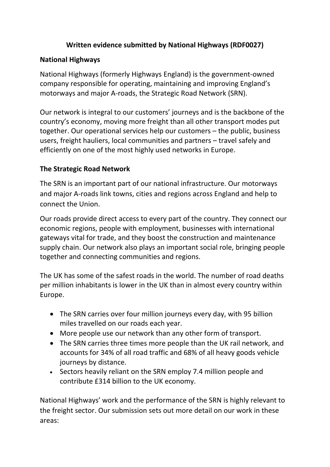# **Written evidence submitted by National Highways (RDF0027)**

## **National Highways**

National Highways (formerly Highways England) is the government-owned company responsible for operating, maintaining and improving England's motorways and major A-roads, the Strategic Road Network (SRN).

Our network is integral to our customers' journeys and is the backbone of the country's economy, moving more freight than all other transport modes put together. Our operational services help our customers – the public, business users, freight hauliers, local communities and partners – travel safely and efficiently on one of the most highly used networks in Europe.

## **The Strategic Road Network**

The SRN is an important part of our national infrastructure. Our motorways and major A-roads link towns, cities and regions across England and help to connect the Union.

Our roads provide direct access to every part of the country. They connect our economic regions, people with employment, businesses with international gateways vital for trade, and they boost the construction and maintenance supply chain. Our network also plays an important social role, bringing people together and connecting communities and regions.

The UK has some of the safest roads in the world. The number of road deaths per million inhabitants is lower in the UK than in almost every country within Europe.

- The SRN carries over four million journeys every day, with 95 billion miles travelled on our roads each year.
- More people use our network than any other form of transport.
- The SRN carries three times more people than the UK rail network, and accounts for 34% of all road traffic and 68% of all heavy goods vehicle journeys by distance.
- Sectors heavily reliant on the SRN employ 7.4 million people and contribute £314 billion to the UK economy.

National Highways' work and the performance of the SRN is highly relevant to the freight sector. Our submission sets out more detail on our work in these areas: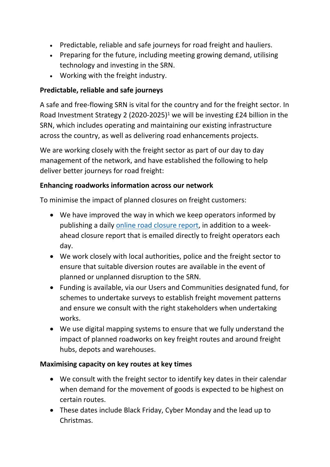- Predictable, reliable and safe journeys for road freight and hauliers.
- Preparing for the future, including meeting growing demand, utilising technology and investing in the SRN.
- Working with the freight industry.

# **Predictable, reliable and safe journeys**

A safe and free-flowing SRN is vital for the country and for the freight sector. In Road Investment Strategy 2 (2020-2025)<sup>1</sup> we will be investing £24 billion in the SRN, which includes operating and maintaining our existing infrastructure across the country, as well as delivering road enhancements projects.

We are working closely with the freight sector as part of our day to day management of the network, and have established the following to help deliver better journeys for road freight:

## **Enhancing roadworks information across our network**

To minimise the impact of planned closures on freight customers:

- We have improved the way in which we keep operators informed by publishing a daily [online](https://nationalhighways.co.uk/travel-updates/road-closure-report/) [road](https://nationalhighways.co.uk/travel-updates/road-closure-report/) [closure](https://nationalhighways.co.uk/travel-updates/road-closure-report/) [report](https://nationalhighways.co.uk/travel-updates/road-closure-report/), in addition to a weekahead closure report that is emailed directly to freight operators each day.
- We work closely with local authorities, police and the freight sector to ensure that suitable diversion routes are available in the event of planned or unplanned disruption to the SRN.
- Funding is available, via our Users and Communities designated fund, for schemes to undertake surveys to establish freight movement patterns and ensure we consult with the right stakeholders when undertaking works.
- We use digital mapping systems to ensure that we fully understand the impact of planned roadworks on key freight routes and around freight hubs, depots and warehouses.

### **Maximising capacity on key routes at key times**

- We consult with the freight sector to identify key dates in their calendar when demand for the movement of goods is expected to be highest on certain routes.
- These dates include Black Friday, Cyber Monday and the lead up to Christmas.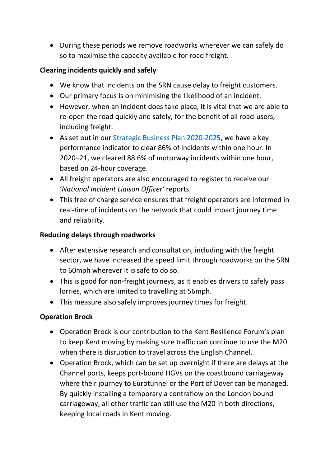During these periods we remove roadworks wherever we can safely do so to maximise the capacity available for road freight.

## **Clearing incidents quickly and safely**

- We know that incidents on the SRN cause delay to freight customers.
- Our primary focus is on minimising the likelihood of an incident.
- However, when an incident does take place, it is vital that we are able to re-open the road quickly and safely, for the benefit of all road-users, including freight.
- As set out in our [Strategic](https://nationalhighways.co.uk/media/3i5c454q/strategic-business-plan-2020-25.pdf) [Business](https://nationalhighways.co.uk/media/3i5c454q/strategic-business-plan-2020-25.pdf) [Plan](https://nationalhighways.co.uk/media/3i5c454q/strategic-business-plan-2020-25.pdf) [2020-2025](https://nationalhighways.co.uk/media/3i5c454q/strategic-business-plan-2020-25.pdf), we have a key performance indicator to clear 86% of incidents within one hour. In 2020–21, we cleared 88.6% of motorway incidents within one hour, based on 24-hour coverage.
- All freight operators are also encouraged to register to receive our '*National Incident Liaison Officer'* reports.
- This free of charge service ensures that freight operators are informed in real-time of incidents on the network that could impact journey time and reliability.

## **Reducing delays through roadworks**

- After extensive research and consultation, including with the freight sector, we have increased the speed limit through roadworks on the SRN to 60mph wherever it is safe to do so.
- This is good for non-freight journeys, as it enables drivers to safely pass lorries, which are limited to travelling at 56mph.
- This measure also safely improves journey times for freight.

## **Operation Brock**

- Operation Brock is our contribution to the Kent Resilience Forum's plan to keep Kent moving by making sure traffic can continue to use the M20 when there is disruption to travel across the English Channel.
- Operation Brock, which can be set up overnight if there are delays at the Channel ports, keeps port-bound HGVs on the coastbound carriageway where their journey to Eurotunnel or the Port of Dover can be managed. By quickly installing a temporary a contraflow on the London bound carriageway, all other traffic can still use the M20 in both directions, keeping local roads in Kent moving.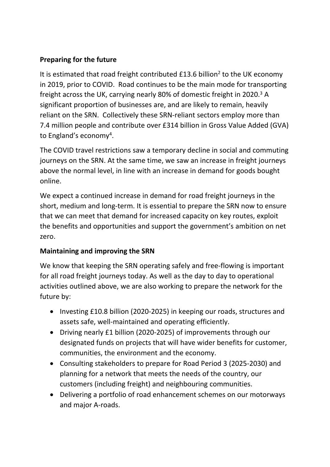# **Preparing for the future**

It is estimated that road freight contributed £13.6 billion<sup>2</sup> to the UK economy in 2019, prior to COVID. Road continues to be the main mode for transporting freight across the UK, carrying nearly 80% of domestic freight in 2020.<sup>3</sup> A significant proportion of businesses are, and are likely to remain, heavily reliant on the SRN. Collectively these SRN-reliant sectors employ more than 7.4 million people and contribute over £314 billion in Gross Value Added (GVA) to England's economy<sup>4</sup>.

The COVID travel restrictions saw a temporary decline in social and commuting journeys on the SRN. At the same time, we saw an increase in freight journeys above the normal level, in line with an increase in demand for goods bought online.

We expect a continued increase in demand for road freight journeys in the short, medium and long-term. It is essential to prepare the SRN now to ensure that we can meet that demand for increased capacity on key routes, exploit the benefits and opportunities and support the government's ambition on net zero.

## **Maintaining and improving the SRN**

We know that keeping the SRN operating safely and free-flowing is important for all road freight journeys today. As well as the day to day to operational activities outlined above, we are also working to prepare the network for the future by:

- Investing £10.8 billion (2020-2025) in keeping our roads, structures and assets safe, well-maintained and operating efficiently.
- Driving nearly £1 billion (2020-2025) of improvements through our [designated](https://highwaysengland.co.uk/designated-funds/) [funds](https://highwaysengland.co.uk/designated-funds/) on projects that will have wider benefits for customer, communities, the environment and the economy.
- Consulting stakeholders to prepare for Road Period 3 (2025-2030) and planning for a network that meets the needs of the country, our customers (including freight) and neighbouring communities.
- Delivering a portfolio of road enhancement schemes on our motorways and major A-roads.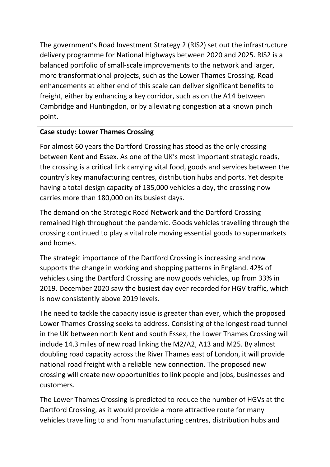The government's Road Investment Strategy 2 (RIS2) set out the infrastructure delivery programme for National Highways between 2020 and 2025. RIS2 is a balanced portfolio of small-scale improvements to the network and larger, more transformational projects, such as the Lower Thames Crossing. Road enhancements at either end of this scale can deliver significant benefits to freight, either by enhancing a key corridor, such as on the A14 between Cambridge and Huntingdon, or by alleviating congestion at a known pinch point.

## **Case study: Lower Thames Crossing**

For almost 60 years the Dartford Crossing has stood as the only crossing between Kent and Essex. As one of the UK's most important strategic roads, the crossing is a critical link carrying vital food, goods and services between the country's key manufacturing centres, distribution hubs and ports. Yet despite having a total design capacity of 135,000 vehicles a day, the crossing now carries more than 180,000 on its busiest days.

The demand on the Strategic Road Network and the Dartford Crossing remained high throughout the pandemic. Goods vehicles travelling through the crossing continued to play a vital role moving essential goods to supermarkets and homes.

The strategic importance of the Dartford Crossing is increasing and now supports the change in working and shopping patterns in England. 42% of vehicles using the Dartford Crossing are now goods vehicles, up from 33% in 2019. December 2020 saw the busiest day ever recorded for HGV traffic, which is now consistently above 2019 levels.

The need to tackle the capacity issue is greater than ever, which the proposed Lower Thames Crossing seeks to address. Consisting of the longest road tunnel in the UK between north Kent and south Essex, the Lower Thames Crossing will include 14.3 miles of new road linking the M2/A2, A13 and M25. By almost doubling road capacity across the River Thames east of London, it will provide national road freight with a reliable new connection. The proposed new crossing will create new opportunities to link people and jobs, businesses and customers.

The Lower Thames Crossing is predicted to reduce the number of HGVs at the Dartford Crossing, as it would provide a more attractive route for many vehicles travelling to and from manufacturing centres, distribution hubs and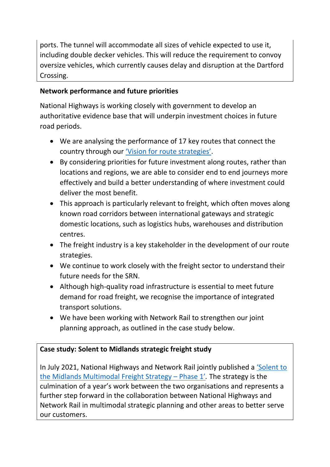ports. The tunnel will accommodate all sizes of vehicle expected to use it, including double decker vehicles. This will reduce the requirement to convoy oversize vehicles, which currently causes delay and disruption at the Dartford Crossing.

# **Network performance and future priorities**

National Highways is working closely with government to develop an authoritative evidence base that will underpin investment choices in future road periods.

- We are analysing the performance of 17 key routes that connect the country through our ['Vision](https://nationalhighways.co.uk/media/w0vhd3un/vision-for-route-strategies.pdf) [for](https://nationalhighways.co.uk/media/w0vhd3un/vision-for-route-strategies.pdf) [route](https://nationalhighways.co.uk/media/w0vhd3un/vision-for-route-strategies.pdf) [strategies'](https://nationalhighways.co.uk/media/w0vhd3un/vision-for-route-strategies.pdf).
- By considering priorities for future investment along routes, rather than locations and regions, we are able to consider end to end journeys more effectively and build a better understanding of where investment could deliver the most benefit.
- This approach is particularly relevant to freight, which often moves along known road corridors between international gateways and strategic domestic locations, such as logistics hubs, warehouses and distribution centres.
- The freight industry is a key stakeholder in the development of our route strategies.
- We continue to work closely with the freight sector to understand their future needs for the SRN.
- Although high-quality road infrastructure is essential to meet future demand for road freight, we recognise the importance of integrated transport solutions.
- We have been working with Network Rail to strengthen our joint planning approach, as outlined in the case study below.

# **Case study: Solent to Midlands strategic freight study**

In July 2021, National Highways and Network Rail jointly published a ['Solent](https://nationalhighways.co.uk/media/rc4bekfn/solent-to-the-midlands-multimodal-freight-strategy.pdf) [to](https://nationalhighways.co.uk/media/rc4bekfn/solent-to-the-midlands-multimodal-freight-strategy.pdf) [the](https://nationalhighways.co.uk/media/rc4bekfn/solent-to-the-midlands-multimodal-freight-strategy.pdf) [Midlands](https://nationalhighways.co.uk/media/rc4bekfn/solent-to-the-midlands-multimodal-freight-strategy.pdf) [Multimodal](https://nationalhighways.co.uk/media/rc4bekfn/solent-to-the-midlands-multimodal-freight-strategy.pdf) [Freight](https://nationalhighways.co.uk/media/rc4bekfn/solent-to-the-midlands-multimodal-freight-strategy.pdf) [Strategy](https://nationalhighways.co.uk/media/rc4bekfn/solent-to-the-midlands-multimodal-freight-strategy.pdf) [–](https://nationalhighways.co.uk/media/rc4bekfn/solent-to-the-midlands-multimodal-freight-strategy.pdf) [Phase](https://nationalhighways.co.uk/media/rc4bekfn/solent-to-the-midlands-multimodal-freight-strategy.pdf) [1'](https://nationalhighways.co.uk/media/rc4bekfn/solent-to-the-midlands-multimodal-freight-strategy.pdf)*.* The strategy is the culmination of a year's work between the two organisations and represents a further step forward in the collaboration between National Highways and Network Rail in multimodal strategic planning and other areas to better serve our customers.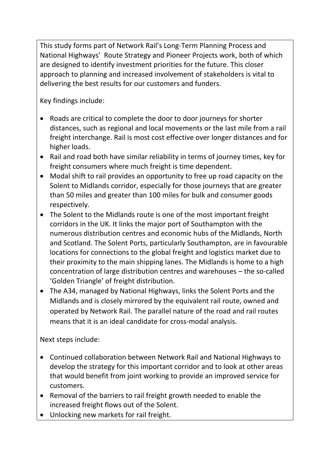This study forms part of Network Rail's Long-Term Planning Process and National Highways' Route Strategy and Pioneer Projects work, both of which are designed to identify investment priorities for the future. This closer approach to planning and increased involvement of stakeholders is vital to delivering the best results for our customers and funders.

Key findings include:

- Roads are critical to complete the door to door journeys for shorter distances, such as regional and local movements or the last mile from a rail freight interchange. Rail is most cost effective over longer distances and for higher loads.
- Rail and road both have similar reliability in terms of journey times, key for freight consumers where much freight is time dependent.
- Modal shift to rail provides an opportunity to free up road capacity on the Solent to Midlands corridor, especially for those journeys that are greater than 50 miles and greater than 100 miles for bulk and consumer goods respectively.
- The Solent to the Midlands route is one of the most important freight corridors in the UK. It links the major port of Southampton with the numerous distribution centres and economic hubs of the Midlands, North and Scotland. The Solent Ports, particularly Southampton, are in favourable locations for connections to the global freight and logistics market due to their proximity to the main shipping lanes. The Midlands is home to a high concentration of large distribution centres and warehouses – the so-called 'Golden Triangle' of freight distribution.
- The A34, managed by National Highways, links the Solent Ports and the Midlands and is closely mirrored by the equivalent rail route, owned and operated by Network Rail. The parallel nature of the road and rail routes means that it is an ideal candidate for cross-modal analysis.

Next steps include:

- Continued collaboration between Network Rail and National Highways to develop the strategy for this important corridor and to look at other areas that would benefit from joint working to provide an improved service for customers.
- Removal of the barriers to rail freight growth needed to enable the increased freight flows out of the Solent.
- Unlocking new markets for rail freight.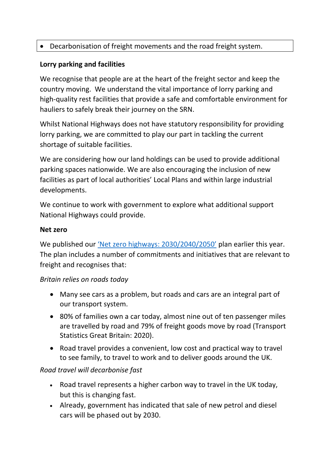# Decarbonisation of freight movements and the road freight system.

### **Lorry parking and facilities**

We recognise that people are at the heart of the freight sector and keep the country moving. We understand the vital importance of lorry parking and high-quality rest facilities that provide a safe and comfortable environment for hauliers to safely break their journey on the SRN.

Whilst National Highways does not have statutory responsibility for providing lorry parking, we are committed to play our part in tackling the current shortage of suitable facilities.

We are considering how our land holdings can be used to provide additional parking spaces nationwide. We are also encouraging the inclusion of new facilities as part of local authorities' Local Plans and within large industrial developments.

We continue to work with government to explore what additional support National Highways could provide.

#### **Net zero**

We published our ['Net](https://nationalhighways.co.uk/media/eispcjem/net-zero-highways-our-2030-2040-2050-plan.pdf) [zero](https://nationalhighways.co.uk/media/eispcjem/net-zero-highways-our-2030-2040-2050-plan.pdf) [highways:](https://nationalhighways.co.uk/media/eispcjem/net-zero-highways-our-2030-2040-2050-plan.pdf) [2030/2040/2050'](https://nationalhighways.co.uk/media/eispcjem/net-zero-highways-our-2030-2040-2050-plan.pdf) plan earlier this year. The plan includes a number of commitments and initiatives that are relevant to freight and recognises that:

### *Britain relies on roads today*

- Many see cars as a problem, but roads and cars are an integral part of our transport system.
- 80% of families own a car today, almost nine out of ten passenger miles are travelled by road and 79% of freight goods move by road (Transport Statistics Great Britain: 2020).
- Road travel provides a convenient, low cost and practical way to travel to see family, to travel to work and to deliver goods around the UK.

### *Road travel will decarbonise fast*

- Road travel represents a higher carbon way to travel in the UK today, but this is changing fast.
- Already, government has indicated that sale of new petrol and diesel cars will be phased out by 2030.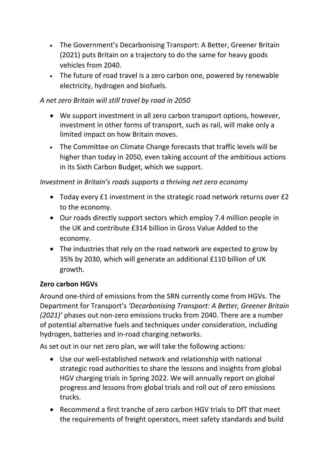- The Government's Decarbonising Transport: A Better, Greener Britain (2021) puts Britain on a trajectory to do the same for heavy goods vehicles from 2040.
- The future of road travel is a zero carbon one, powered by renewable electricity, hydrogen and biofuels.

# *A net zero Britain will still travel by road in 2050*

- We support investment in all zero carbon transport options, however, investment in other forms of transport, such as rail, will make only a limited impact on how Britain moves.
- The Committee on Climate Change forecasts that traffic levels will be higher than today in 2050, even taking account of the ambitious actions in its Sixth Carbon Budget, which we support.

## *Investment in Britain's roads supports a thriving net zero economy*

- Today every £1 investment in the strategic road network returns over £2 to the economy.
- Our roads directly support sectors which employ 7.4 million people in the UK and contribute £314 billion in Gross Value Added to the economy.
- The industries that rely on the road network are expected to grow by 35% by 2030, which will generate an additional £110 billion of UK growth.

## **Zero carbon HGVs**

Around one-third of emissions from the SRN currently come from HGVs. The Department for Transport's *'Decarbonising Transport: A Better, Greener Britain (2021)'* phases out non-zero emissions trucks from 2040. There are a number of potential alternative fuels and techniques under consideration, including hydrogen, batteries and in-road charging networks.

As set out in our net zero plan, we will take the following actions:

- Use our well-established network and relationship with national strategic road authorities to share the lessons and insights from global HGV charging trials in Spring 2022. We will annually report on global progress and lessons from global trials and roll out of zero emissions trucks.
- Recommend a first tranche of zero carbon HGV trials to DfT that meet the requirements of freight operators, meet safety standards and build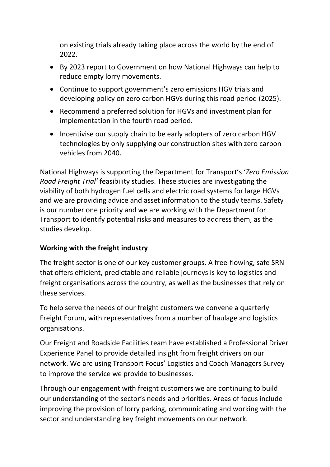on existing trials already taking place across the world by the end of 2022.

- By 2023 report to Government on how National Highways can help to reduce empty lorry movements.
- Continue to support government's zero emissions HGV trials and developing policy on zero carbon HGVs during this road period (2025).
- Recommend a preferred solution for HGVs and investment plan for implementation in the fourth road period.
- Incentivise our supply chain to be early adopters of zero carbon HGV technologies by only supplying our construction sites with zero carbon vehicles from 2040.

National Highways is supporting the Department for Transport's '*Zero Emission Road Freight Trial'* feasibility studies. These studies are investigating the viability of both hydrogen fuel cells and electric road systems for large HGVs and we are providing advice and asset information to the study teams. Safety is our number one priority and we are working with the Department for Transport to identify potential risks and measures to address them, as the studies develop.

## **Working with the freight industry**

The freight sector is one of our key customer groups. A free-flowing, safe SRN that offers efficient, predictable and reliable journeys is key to logistics and freight organisations across the country, as well as the businesses that rely on these services.

To help serve the needs of our freight customers we convene a quarterly Freight Forum, with representatives from a number of haulage and logistics organisations.

Our Freight and Roadside Facilities team have established a Professional Driver Experience Panel to provide detailed insight from freight drivers on our network. We are using Transport Focus' Logistics and Coach Managers Survey to improve the service we provide to businesses.

Through our engagement with freight customers we are continuing to build our understanding of the sector's needs and priorities. Areas of focus include improving the provision of lorry parking, communicating and working with the sector and understanding key freight movements on our network.